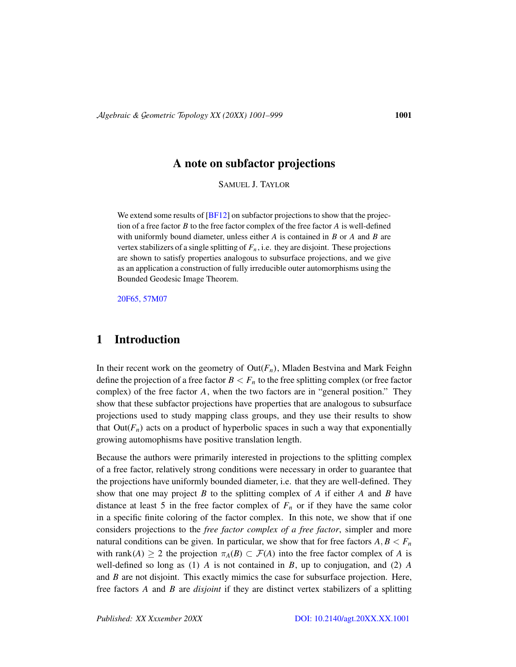### A note on subfactor projections

SAMUEL J. TAYLOR

We extend some results of [\[BF12\]](#page-16-0) on subfactor projections to show that the projection of a free factor *B* to the free factor complex of the free factor *A* is well-defined with uniformly bound diameter, unless either *A* is contained in *B* or *A* and *B* are vertex stabilizers of a single splitting of  $F_n$ , i.e. they are disjoint. These projections are shown to satisfy properties analogous to subsurface projections, and we give as an application a construction of fully irreducible outer automorphisms using the Bounded Geodesic Image Theorem.

[20F65, 57M07](http://www.ams.org/mathscinet/search/mscdoc.html?code=20F65, 57M07)

## 1 Introduction

In their recent work on the geometry of  $Out(F_n)$ , Mladen Bestvina and Mark Feighn define the projection of a free factor  $B < F_n$  to the free splitting complex (or free factor complex) of the free factor *A*, when the two factors are in "general position." They show that these subfactor projections have properties that are analogous to subsurface projections used to study mapping class groups, and they use their results to show that  $Out(F_n)$  acts on a product of hyperbolic spaces in such a way that exponentially growing automophisms have positive translation length.

Because the authors were primarily interested in projections to the splitting complex of a free factor, relatively strong conditions were necessary in order to guarantee that the projections have uniformly bounded diameter, i.e. that they are well-defined. They show that one may project *B* to the splitting complex of *A* if either *A* and *B* have distance at least 5 in the free factor complex of  $F<sub>n</sub>$  or if they have the same color in a specific finite coloring of the factor complex. In this note, we show that if one considers projections to the *free factor complex of a free factor*, simpler and more natural conditions can be given. In particular, we show that for free factors  $A, B, F_n$ with rank(*A*)  $\geq$  2 the projection  $\pi_A(B) \subset \mathcal{F}(A)$  into the free factor complex of *A* is well-defined so long as (1) *A* is not contained in *B*, up to conjugation, and (2) *A* and *B* are not disjoint. This exactly mimics the case for subsurface projection. Here, free factors *A* and *B* are *disjoint* if they are distinct vertex stabilizers of a splitting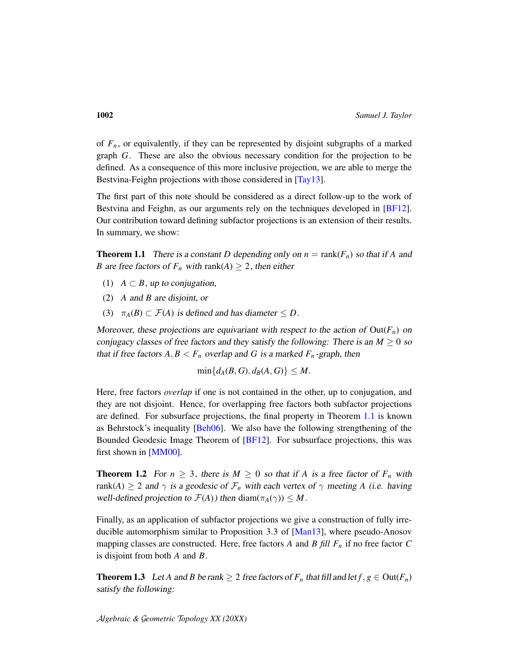of  $F_n$ , or equivalently, if they can be represented by disjoint subgraphs of a marked graph *G*. These are also the obvious necessary condition for the projection to be defined. As a consequence of this more inclusive projection, we are able to merge the Bestvina-Feighn projections with those considered in [\[Tay13\]](#page-17-0).

The first part of this note should be considered as a direct follow-up to the work of Bestvina and Feighn, as our arguments rely on the techniques developed in [\[BF12\]](#page-16-0). Our contribution toward defining subfactor projections is an extension of their results. In summary, we show:

<span id="page-1-0"></span>**Theorem 1.1** There is a constant *D* depending only on  $n = \text{rank}(F_n)$  so that if *A* and *B* are free factors of  $F_n$  with rank(*A*)  $\geq$  2, then either

- (1)  $A \subset B$ , up to conjugation,
- (2) *A* and *B* are disjoint, or
- (3)  $\pi_A(B) \subset \mathcal{F}(A)$  is defined and has diameter  $\leq D$ .

Moreover, these projections are equivariant with respect to the action of  $Out(F_n)$  on conjugacy classes of free factors and they satisfy the following: There is an  $M \geq 0$  so that if free factors  $A, B \lt F_n$  overlap and G is a marked  $F_n$ -graph, then

 $\min\{d_A(B, G), d_B(A, G)\} \leq M$ .

Here, free factors *overlap* if one is not contained in the other, up to conjugation, and they are not disjoint. Hence, for overlapping free factors both subfactor projections are defined. For subsurface projections, the final property in Theorem [1.1](#page-1-0) is known as Behrstock's inequality [\[Beh06\]](#page-16-1). We also have the following strengthening of the Bounded Geodesic Image Theorem of [\[BF12\]](#page-16-0). For subsurface projections, this was first shown in [\[MM00\]](#page-17-1).

**Theorem 1.2** For  $n \geq 3$ , there is  $M \geq 0$  so that if A is a free factor of  $F_n$  with rank(*A*)  $\geq$  2 and  $\gamma$  is a geodesic of  $\mathcal{F}_n$  with each vertex of  $\gamma$  meeting *A* (i.e. having well-defined projection to  $\mathcal{F}(A)$ ) then diam( $\pi_A(\gamma)$ )  $\leq M$ .

Finally, as an application of subfactor projections we give a construction of fully irreducible automorphism similar to Proposition 3.3 of [\[Man13\]](#page-17-2), where pseudo-Anosov mapping classes are constructed. Here, free factors *A* and *B fill F<sup>n</sup>* if no free factor *C* is disjoint from both *A* and *B*.

<span id="page-1-1"></span>**Theorem 1.3** Let *A* and *B* be rank  $\geq 2$  free factors of  $F_n$  that fill and let  $f, g \in Out(F_n)$ satisfy the following:

A*lgebraic &* G*eometric* T*opology XX (20XX)*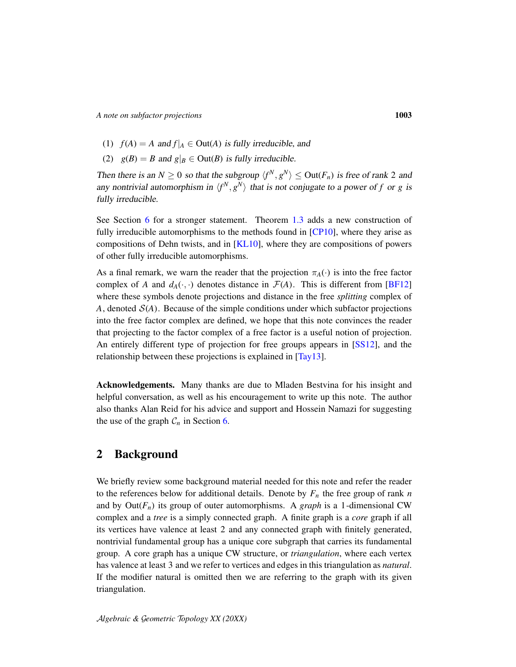- (1)  $f(A) = A$  and  $f|_A \in Out(A)$  is fully irreducible, and
- (2)  $g(B) = B$  and  $g|_B \in$  Out(*B*) is fully irreducible.

Then there is an  $N \geq 0$  so that the subgroup  $\langle f^N, g^N \rangle \leq Out(F_n)$  is free of rank 2 and any nontrivial automorphism in  $\langle f^N, g^N \rangle$  that is not conjugate to a power of *f* or *g* is fully irreducible.

See Section [6](#page-12-0) for a stronger statement. Theorem [1.3](#page-1-1) adds a new construction of fully irreducible automorphisms to the methods found in [\[CP10\]](#page-16-2), where they arise as compositions of Dehn twists, and in [\[KL10\]](#page-16-3), where they are compositions of powers of other fully irreducible automorphisms.

As a final remark, we warn the reader that the projection  $\pi_A(\cdot)$  is into the free factor complex of *A* and  $d_A(\cdot, \cdot)$  denotes distance in  $\mathcal{F}(A)$ . This is different from [\[BF12\]](#page-16-0) where these symbols denote projections and distance in the free *splitting* complex of A, denoted  $S(A)$ . Because of the simple conditions under which subfactor projections into the free factor complex are defined, we hope that this note convinces the reader that projecting to the factor complex of a free factor is a useful notion of projection. An entirely different type of projection for free groups appears in [\[SS12\]](#page-17-3), and the relationship between these projections is explained in [\[Tay13\]](#page-17-0).

Acknowledgements. Many thanks are due to Mladen Bestvina for his insight and helpful conversation, as well as his encouragement to write up this note. The author also thanks Alan Reid for his advice and support and Hossein Namazi for suggesting the use of the graph  $C_n$  in Section [6.](#page-12-0)

### <span id="page-2-0"></span>2 Background

We briefly review some background material needed for this note and refer the reader to the references below for additional details. Denote by  $F_n$  the free group of rank  $n$ and by  $Out(F_n)$  its group of outer automorphisms. A *graph* is a 1-dimensional CW complex and a *tree* is a simply connected graph. A finite graph is a *core* graph if all its vertices have valence at least 2 and any connected graph with finitely generated, nontrivial fundamental group has a unique core subgraph that carries its fundamental group. A core graph has a unique CW structure, or *triangulation*, where each vertex has valence at least 3 and we refer to vertices and edges in this triangulation as *natural*. If the modifier natural is omitted then we are referring to the graph with its given triangulation.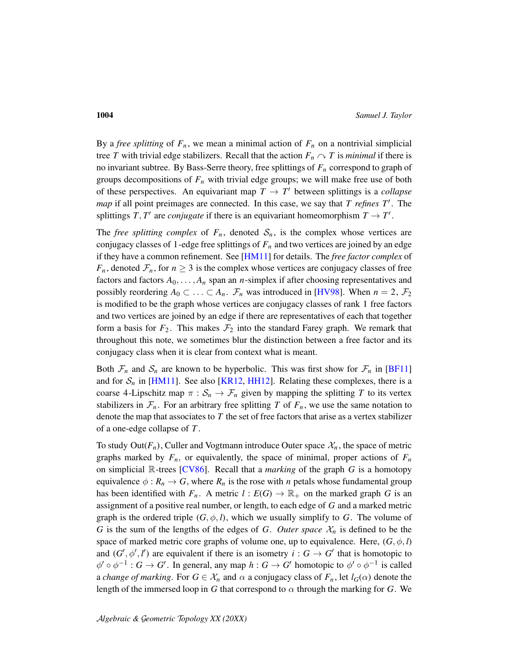By a *free splitting* of  $F_n$ , we mean a minimal action of  $F_n$  on a nontrivial simplicial tree *T* with trivial edge stabilizers. Recall that the action  $F_n \cap T$  is *minimal* if there is no invariant subtree. By Bass-Serre theory, free splittings of *F<sup>n</sup>* correspond to graph of groups decompositions of  $F<sub>n</sub>$  with trivial edge groups; we will make free use of both of these perspectives. An equivariant map  $T \rightarrow T'$  between splittings is a *collapse map* if all point preimages are connected. In this case, we say that *T refines T'*. The splittings  $T, T'$  are *conjugate* if there is an equivariant homeomorphism  $T \to T'$ .

The *free splitting complex* of  $F_n$ , denoted  $S_n$ , is the complex whose vertices are conjugacy classes of 1-edge free splittings of  $F<sub>n</sub>$  and two vertices are joined by an edge if they have a common refinement. See [\[HM11\]](#page-16-4) for details. The *free factor complex* of *F<sub>n</sub>*, denoted  $\mathcal{F}_n$ , for  $n \geq 3$  is the complex whose vertices are conjugacy classes of free factors and factors  $A_0, \ldots, A_n$  span an *n*-simplex if after choosing representatives and possibly reordering  $A_0 \subset \ldots \subset A_n$ .  $\mathcal{F}_n$  was introduced in [\[HV98\]](#page-16-5). When  $n = 2$ ,  $\mathcal{F}_2$ is modified to be the graph whose vertices are conjugacy classes of rank 1 free factors and two vertices are joined by an edge if there are representatives of each that together form a basis for  $F_2$ . This makes  $\mathcal{F}_2$  into the standard Farey graph. We remark that throughout this note, we sometimes blur the distinction between a free factor and its conjugacy class when it is clear from context what is meant.

Both  $\mathcal{F}_n$  and  $\mathcal{S}_n$  are known to be hyperbolic. This was first show for  $\mathcal{F}_n$  in [\[BF11\]](#page-16-6) and for  $S_n$  in [\[HM11\]](#page-16-4). See also [\[KR12,](#page-17-4) [HH12\]](#page-16-7). Relating these complexes, there is a coarse 4-Lipschitz map  $\pi : S_n \to \mathcal{F}_n$  given by mapping the splitting *T* to its vertex stabilizers in  $\mathcal{F}_n$ . For an arbitrary free splitting *T* of  $F_n$ , we use the same notation to denote the map that associates to *T* the set of free factors that arise as a vertex stabilizer of a one-edge collapse of *T* .

To study Out( $F_n$ ), Culler and Vogtmann introduce Outer space  $\mathcal{X}_n$ , the space of metric graphs marked by  $F_n$ , or equivalently, the space of minimal, proper actions of  $F_n$ on simplicial R-trees [\[CV86\]](#page-16-8). Recall that a *marking* of the graph *G* is a homotopy equivalence  $\phi : R_n \to G$ , where  $R_n$  is the rose with *n* petals whose fundamental group has been identified with  $F_n$ . A metric  $l : E(G) \to \mathbb{R}_+$  on the marked graph *G* is an assignment of a positive real number, or length, to each edge of *G* and a marked metric graph is the ordered triple  $(G, \phi, l)$ , which we usually simplify to *G*. The volume of *G* is the sum of the lengths of the edges of *G*. *Outer space*  $\mathcal{X}_n$  is defined to be the space of marked metric core graphs of volume one, up to equivalence. Here,  $(G, \phi, l)$ and  $(G', \phi', l')$  are equivalent if there is an isometry  $i : G \to G'$  that is homotopic to  $\phi' \circ \phi^{-1} : G \to G'$ . In general, any map  $h : G \to G'$  homotopic to  $\phi' \circ \phi^{-1}$  is called a *change of marking*. For  $G \in \mathcal{X}_n$  and  $\alpha$  a conjugacy class of  $F_n$ , let  $l_G(\alpha)$  denote the length of the immersed loop in *G* that correspond to  $\alpha$  through the marking for *G*. We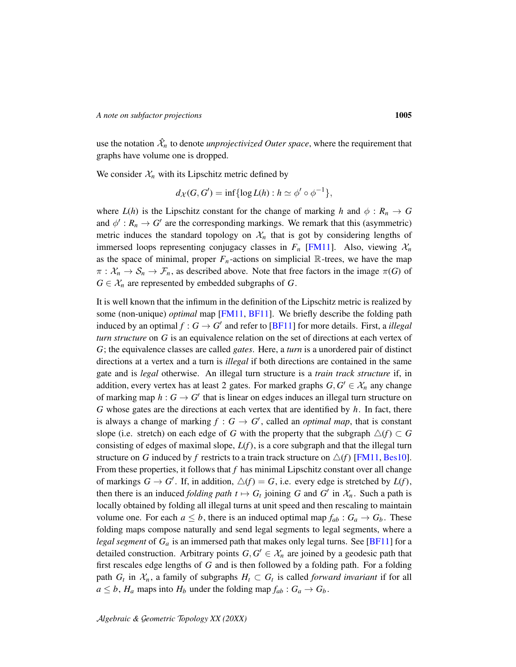use the notation  $\hat{\mathcal{X}}_n$  to denote *unprojectivized Outer space*, where the requirement that graphs have volume one is dropped.

We consider  $X_n$  with its Lipschitz metric defined by

$$
d_{\mathcal{X}}(G, G') = \inf \{ \log L(h) : h \simeq \phi' \circ \phi^{-1} \},
$$

where  $L(h)$  is the Lipschitz constant for the change of marking *h* and  $\phi : R_n \to G$ and  $\phi' : R_n \to G'$  are the corresponding markings. We remark that this (asymmetric) metric induces the standard topology on  $\mathcal{X}_n$  that is got by considering lengths of immersed loops representing conjugacy classes in  $F_n$  [\[FM11\]](#page-16-9). Also, viewing  $\mathcal{X}_n$ as the space of minimal, proper  $F_n$ -actions on simplicial  $\mathbb R$ -trees, we have the map  $\pi : \mathcal{X}_n \to \mathcal{S}_n \to \mathcal{F}_n$ , as described above. Note that free factors in the image  $\pi(G)$  of  $G \in \mathcal{X}_n$  are represented by embedded subgraphs of *G*.

It is well known that the infimum in the definition of the Lipschitz metric is realized by some (non-unique) *optimal* map [\[FM11,](#page-16-9) [BF11\]](#page-16-6). We briefly describe the folding path induced by an optimal  $f : G \to G'$  and refer to [\[BF11\]](#page-16-6) for more details. First, a *illegal turn structure* on *G* is an equivalence relation on the set of directions at each vertex of *G*; the equivalence classes are called *gates*. Here, a *turn* is a unordered pair of distinct directions at a vertex and a turn is *illegal* if both directions are contained in the same gate and is *legal* otherwise. An illegal turn structure is a *train track structure* if, in addition, every vertex has at least 2 gates. For marked graphs  $G, G' \in \mathcal{X}_n$  any change of marking map  $h: G \to G'$  that is linear on edges induces an illegal turn structure on *G* whose gates are the directions at each vertex that are identified by *h*. In fact, there is always a change of marking  $f : G \to G'$ , called an *optimal map*, that is constant slope (i.e. stretch) on each edge of *G* with the property that the subgraph  $\triangle(f) \subset G$ consisting of edges of maximal slope, *L*(*f*), is a core subgraph and that the illegal turn structure on *G* induced by *f* restricts to a train track structure on  $\triangle(f)$  [\[FM11,](#page-16-9) [Bes10\]](#page-16-10). From these properties, it follows that *f* has minimal Lipschitz constant over all change of markings  $G \to G'$ . If, in addition,  $\Delta(f) = G$ , i.e. every edge is stretched by  $L(f)$ , then there is an induced *folding path*  $t \mapsto G_t$  joining *G* and *G'* in  $\mathcal{X}_n$ . Such a path is locally obtained by folding all illegal turns at unit speed and then rescaling to maintain volume one. For each  $a \leq b$ , there is an induced optimal map  $f_{ab}$ :  $G_a \rightarrow G_b$ . These folding maps compose naturally and send legal segments to legal segments, where a *legal segment* of  $G_a$  is an immersed path that makes only legal turns. See [\[BF11\]](#page-16-6) for a detailed construction. Arbitrary points  $G, G' \in \mathcal{X}_n$  are joined by a geodesic path that first rescales edge lengths of *G* and is then followed by a folding path. For a folding path  $G_t$  in  $\mathcal{X}_n$ , a family of subgraphs  $H_t \subset G_t$  is called *forward invariant* if for all  $a \leq b$ ,  $H_a$  maps into  $H_b$  under the folding map  $f_{ab}$ :  $G_a \rightarrow G_b$ .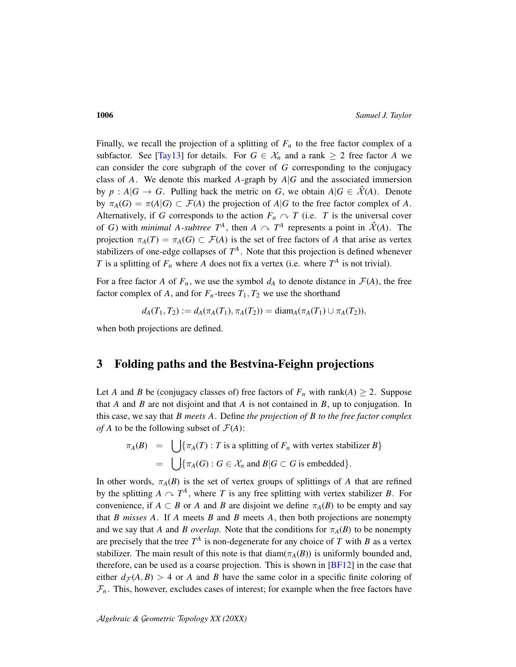Finally, we recall the projection of a splitting of  $F<sub>n</sub>$  to the free factor complex of a subfactor. See [\[Tay13\]](#page-17-0) for details. For  $G \in \mathcal{X}_n$  and a rank  $\geq 2$  free factor A we can consider the core subgraph of the cover of *G* corresponding to the conjugacy class of *A*. We denote this marked *A*-graph by  $A|G$  and the associated immersion by  $p : A | G \rightarrow G$ . Pulling back the metric on *G*, we obtain  $A | G \in \mathcal{X}(A)$ . Denote by  $\pi_A(G) = \pi(A|G) \subset \mathcal{F}(A)$  the projection of  $A|G$  to the free factor complex of A. Alternatively, if *G* corresponds to the action  $F_n \sim T$  (i.e. *T* is the universal cover of *G*) with *minimal A*-subtree  $T^A$ , then  $A \sim T^A$  represents a point in  $\hat{\mathcal{X}}(A)$ . The projection  $\pi_A(T) = \pi_A(G) \subset \mathcal{F}(A)$  is the set of free factors of A that arise as vertex stabilizers of one-edge collapses of  $T^A$ . Note that this projection is defined whenever *T* is a splitting of  $F_n$  where *A* does not fix a vertex (i.e. where  $T^A$  is not trivial).

For a free factor *A* of  $F_n$ , we use the symbol  $d_A$  to denote distance in  $\mathcal{F}(A)$ , the free factor complex of *A*, and for  $F_n$ -trees  $T_1, T_2$  we use the shorthand

$$
d_A(T_1, T_2) := d_A(\pi_A(T_1), \pi_A(T_2)) = \text{diam}_A(\pi_A(T_1) \cup \pi_A(T_2)),
$$

when both projections are defined.

### 3 Folding paths and the Bestvina-Feighn projections

Let *A* and *B* be (conjugacy classes of) free factors of  $F_n$  with rank(*A*)  $\geq$  2. Suppose that *A* and *B* are not disjoint and that *A* is not contained in *B*, up to conjugation. In this case, we say that *B meets A*. Define *the projection of B to the free factor complex of A* to be the following subset of  $\mathcal{F}(A)$ :

$$
\pi_A(B) = \bigcup \{\pi_A(T) : T \text{ is a splitting of } F_n \text{ with vertex stabilizer } B\}
$$
  
= 
$$
\bigcup \{\pi_A(G) : G \in \mathcal{X}_n \text{ and } B | G \subset G \text{ is embedded}\}.
$$

In other words,  $\pi_A(B)$  is the set of vertex groups of splittings of *A* that are refined by the splitting  $A \cap T^A$ , where *T* is any free splitting with vertex stabilizer *B*. For convenience, if  $A \subset B$  or  $A$  and  $B$  are disjoint we define  $\pi_A(B)$  to be empty and say that *B misses A*. If *A* meets *B* and *B* meets *A*, then both projections are nonempty and we say that *A* and *B overlap*. Note that the conditions for  $\pi_A(B)$  to be nonempty are precisely that the tree  $T^A$  is non-degenerate for any choice of T with B as a vertex stabilizer. The main result of this note is that diam( $\pi_A(B)$ ) is uniformly bounded and, therefore, can be used as a coarse projection. This is shown in  $[BF12]$  in the case that either  $d_{\mathcal{F}}(A, B) > 4$  or A and B have the same color in a specific finite coloring of  $\mathcal{F}_n$ . This, however, excludes cases of interest; for example when the free factors have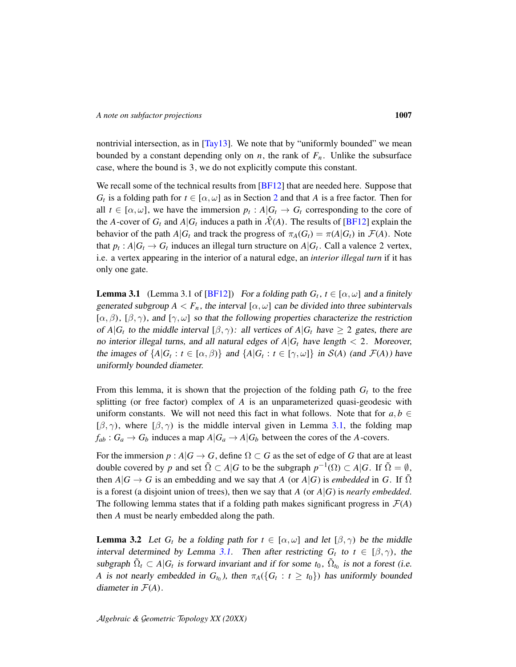nontrivial intersection, as in [\[Tay13\]](#page-17-0). We note that by "uniformly bounded" we mean bounded by a constant depending only on *n*, the rank of  $F_n$ . Unlike the subsurface case, where the bound is 3, we do not explicitly compute this constant.

We recall some of the technical results from [\[BF12\]](#page-16-0) that are needed here. Suppose that *G<sub>t</sub>* is a folding path for  $t \in [\alpha, \omega]$  as in Section [2](#page-2-0) and that *A* is a free factor. Then for all  $t \in [\alpha, \omega]$ , we have the immersion  $p_t : A | G_t \to G_t$  corresponding to the core of the *A*-cover of  $G_t$  and  $A|G_t$  induces a path in  $\hat{\mathcal{X}}(A)$ . The results of [\[BF12\]](#page-16-0) explain the behavior of the path  $A|G_t$  and track the progress of  $\pi_A(G_t) = \pi(A|G_t)$  in  $\mathcal{F}(A)$ . Note that  $p_t$ :  $A|G_t \to G_t$  induces an illegal turn structure on  $A|G_t$ . Call a valence 2 vertex, i.e. a vertex appearing in the interior of a natural edge, an *interior illegal turn* if it has only one gate.

<span id="page-6-0"></span>**Lemma 3.1** (Lemma 3.1 of [\[BF12\]](#page-16-0)) For a folding path  $G_t$ ,  $t \in [\alpha, \omega]$  and a finitely generated subgroup  $A < F_n$ , the interval  $[\alpha, \omega]$  can be divided into three subintervals [ $\alpha, \beta$ ), [ $\beta, \gamma$ ), and [ $\gamma, \omega$ ] so that the following properties characterize the restriction of  $A|G_t$  to the middle interval  $[\beta, \gamma)$ : all vertices of  $A|G_t$  have  $\geq 2$  gates, there are no interior illegal turns, and all natural edges of  $A|G_t$  have length  $\lt 2$ . Moreover, the images of  $\{A|G_t : t \in [\alpha, \beta]\}$  and  $\{A|G_t : t \in [\gamma, \omega]\}$  in  $S(A)$  (and  $\mathcal{F}(A)$ ) have uniformly bounded diameter.

From this lemma, it is shown that the projection of the folding path  $G_t$  to the free splitting (or free factor) complex of *A* is an unparameterized quasi-geodesic with uniform constants. We will not need this fact in what follows. Note that for  $a, b \in$  $[\beta, \gamma)$ , where  $[\beta, \gamma)$  is the middle interval given in Lemma [3.1,](#page-6-0) the folding map  $f_{ab}: G_a \to G_b$  induces a map  $A|G_a \to A|G_b$  between the cores of the *A*-covers.

For the immersion  $p : A | G \rightarrow G$ , define  $\Omega \subset G$  as the set of edge of *G* that are at least double covered by *p* and set  $\tilde{\Omega} \subset A | G$  to be the subgraph  $p^{-1}(\Omega) \subset A | G$ . If  $\tilde{\Omega} = \emptyset$ , then  $A|G \to G$  is an embedding and we say that *A* (or  $A|G$ ) is *embedded* in *G*. If  $\Omega$ is a forest (a disjoint union of trees), then we say that  $A$  (or  $A|G$ ) is *nearly embedded*. The following lemma states that if a folding path makes significant progress in  $\mathcal{F}(A)$ then *A* must be nearly embedded along the path.

<span id="page-6-1"></span>**Lemma 3.2** Let  $G_t$  be a folding path for  $t \in [\alpha, \omega]$  and let  $[\beta, \gamma)$  be the middle interval determined by Lemma [3.1.](#page-6-0) Then after restricting  $G_t$  to  $t \in [\beta, \gamma)$ , the subgraph  $\tilde{\Omega}_t \subset A | G_t$  is forward invariant and if for some  $t_0$ ,  $\tilde{\Omega}_{t_0}$  is not a forest (i.e. *A* is not nearly embedded in  $G_{t_0}$ ), then  $\pi_A(\lbrace G_t : t \geq t_0 \rbrace)$  has uniformly bounded diameter in  $\mathcal{F}(A)$ .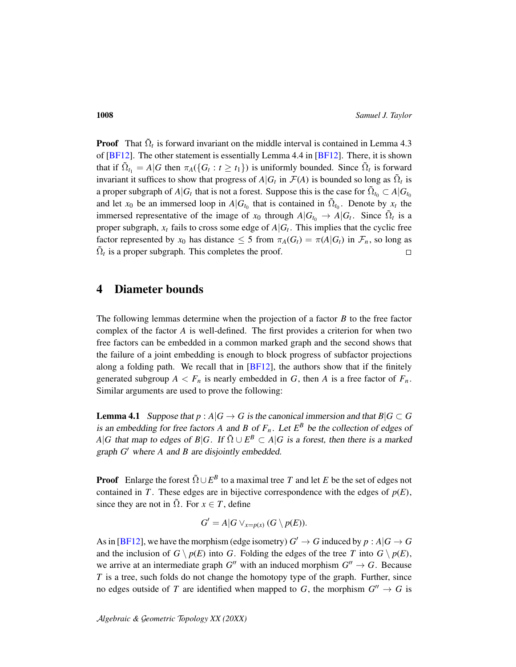**Proof** That  $\tilde{\Omega}_t$  is forward invariant on the middle interval is contained in Lemma 4.3 of [\[BF12\]](#page-16-0). The other statement is essentially Lemma 4.4 in [\[BF12\]](#page-16-0). There, it is shown that if  $\tilde{\Omega}_{t_1} = A | G$  then  $\pi_A(\{G_t : t \geq t_1\})$  is uniformly bounded. Since  $\tilde{\Omega}_t$  is forward invariant it suffices to show that progress of  $A|G_t$  in  $\mathcal{F}(A)$  is bounded so long as  $\tilde{\Omega}_t$  is a proper subgraph of  $A|G_t$  that is not a forest. Suppose this is the case for  $\tilde{\Omega}_{t_0} \subset A|G_{t_0}$ and let  $x_0$  be an immersed loop in  $A|G_{t_0}$  that is contained in  $\tilde{\Omega}_{t_0}$ . Denote by  $x_t$  the immersed representative of the image of  $x_0$  through  $A|G_{t_0} \to A|G_t$ . Since  $\tilde{\Omega}_t$  is a proper subgraph,  $x_t$  fails to cross some edge of  $A|G_t$ . This implies that the cyclic free factor represented by  $x_0$  has distance  $\leq 5$  from  $\pi_A(G_t) = \pi(A|G_t)$  in  $\mathcal{F}_n$ , so long as  $\tilde{\Omega}_t$  is a proper subgraph. This completes the proof.  $\Box$ 

### 4 Diameter bounds

The following lemmas determine when the projection of a factor *B* to the free factor complex of the factor *A* is well-defined. The first provides a criterion for when two free factors can be embedded in a common marked graph and the second shows that the failure of a joint embedding is enough to block progress of subfactor projections along a folding path. We recall that in  $[BF12]$ , the authors show that if the finitely generated subgroup  $A \leq F_n$  is nearly embedded in G, then A is a free factor of  $F_n$ . Similar arguments are used to prove the following:

<span id="page-7-0"></span>**Lemma 4.1** Suppose that  $p : A | G \rightarrow G$  is the canonical immersion and that  $B | G \subset G$ is an embedding for free factors A and B of  $F_n$ . Let  $E^B$  be the collection of edges of *A*|*G* that map to edges of *B*|*G*. If  $\tilde{\Omega} \cup E^B \subset A|G$  is a forest, then there is a marked graph *G'* where *A* and *B* are disjointly embedded.

**Proof** Enlarge the forest  $\tilde{\Omega} \cup E^B$  to a maximal tree *T* and let *E* be the set of edges not contained in *T*. These edges are in bijective correspondence with the edges of  $p(E)$ , since they are not in  $\tilde{\Omega}$ . For  $x \in T$ , define

$$
G'=A|G\vee_{x=p(x)}(G\setminus p(E)).
$$

As in [\[BF12\]](#page-16-0), we have the morphism (edge isometry)  $G' \to G$  induced by  $p : A | G \to G$ and the inclusion of  $G \setminus p(E)$  into *G*. Folding the edges of the tree *T* into  $G \setminus p(E)$ , we arrive at an intermediate graph  $G''$  with an induced morphism  $G'' \to G$ . Because *T* is a tree, such folds do not change the homotopy type of the graph. Further, since no edges outside of *T* are identified when mapped to *G*, the morphism  $G'' \to G$  is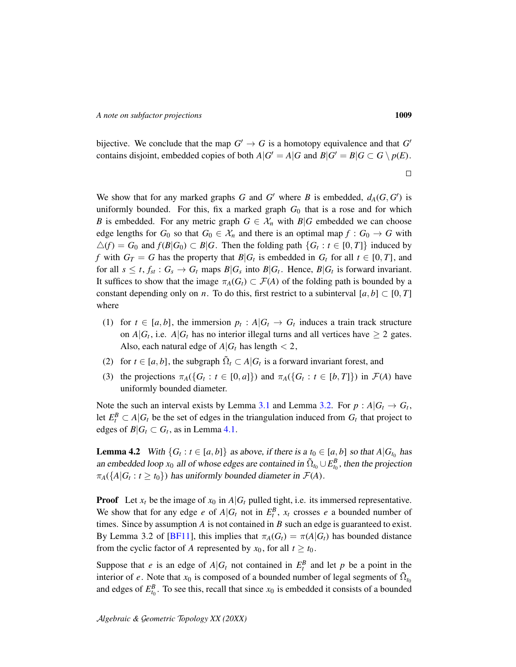bijective. We conclude that the map  $G' \to G$  is a homotopy equivalence and that  $G'$ contains disjoint, embedded copies of both  $A|G' = A|G$  and  $B|G' = B|G \subset G \setminus p(E)$ .

We show that for any marked graphs *G* and *G*<sup> $\prime$ </sup> where *B* is embedded,  $d_A(G, G')$  is uniformly bounded. For this, fix a marked graph  $G_0$  that is a rose and for which *B* is embedded. For any metric graph  $G \in \mathcal{X}_n$  with  $B|G$  embedded we can choose edge lengths for  $G_0$  so that  $G_0 \in \mathcal{X}_n$  and there is an optimal map  $f : G_0 \to G$  with  $\triangle$ (*f*) = *G*<sub>0</sub> and *f*(*B*|*G*<sub>0</sub>) ⊂ *B*|*G*. Then the folding path {*G*<sub>*t*</sub> : *t* ∈ [0, *T*]} induced by *f* with  $G_T = G$  has the property that  $B|G_t$  is embedded in  $G_t$  for all  $t \in [0, T]$ , and for all  $s \leq t$ ,  $f_{st}$  :  $G_s \to G_t$  maps  $B|G_s$  into  $B|G_t$ . Hence,  $B|G_t$  is forward invariant. It suffices to show that the image  $\pi_A(G_t) \subset \mathcal{F}(A)$  of the folding path is bounded by a constant depending only on *n*. To do this, first restrict to a subinterval  $[a, b] \subset [0, T]$ where

- (1) for  $t \in [a, b]$ , the immersion  $p_t : A | G_t \to G_t$  induces a train track structure on  $A|G_t$ , i.e.  $A|G_t$  has no interior illegal turns and all vertices have  $\geq 2$  gates. Also, each natural edge of  $A|G_t$  has length  $\lt 2$ ,
- (2) for  $t \in [a, b]$ , the subgraph  $\tilde{\Omega}_t \subset A | G_t$  is a forward invariant forest, and
- (3) the projections  $\pi_A(\{G_t : t \in [0, a]\})$  and  $\pi_A(\{G_t : t \in [b, T]\})$  in  $\mathcal{F}(A)$  have uniformly bounded diameter.

Note the such an interval exists by Lemma [3.1](#page-6-0) and Lemma [3.2.](#page-6-1) For  $p : A | G_t \to G_t$ , let  $E_t^B \subset A | G_t$  be the set of edges in the triangulation induced from  $G_t$  that project to edges of  $B|G_t \subset G_t$ , as in Lemma [4.1.](#page-7-0)

<span id="page-8-0"></span>**Lemma 4.2** With  $\{G_t : t \in [a, b]\}$  as above, if there is a  $t_0 \in [a, b]$  so that  $A|G_{t_0}$  has an embedded loop  $x_0$  all of whose edges are contained in  $\tilde{\Omega}_{t_0} \cup E_{t_0}^B$ , then the projection  $\pi_A(\lbrace A | G_t : t \geq t_0 \rbrace)$  has uniformly bounded diameter in  $\mathcal{F}(A)$ .

**Proof** Let  $x_t$  be the image of  $x_0$  in  $A|G_t$  pulled tight, i.e. its immersed representative. We show that for any edge *e* of  $A|G_t$  not in  $E_t^B$ ,  $x_t$  crosses *e* a bounded number of times. Since by assumption *A* is not contained in *B* such an edge is guaranteed to exist. By Lemma 3.2 of [\[BF11\]](#page-16-6), this implies that  $\pi_A(G_t) = \pi(A|G_t)$  has bounded distance from the cyclic factor of *A* represented by  $x_0$ , for all  $t \ge t_0$ .

Suppose that *e* is an edge of  $A|G_t$  not contained in  $E_t^B$  and let *p* be a point in the interior of *e*. Note that  $x_0$  is composed of a bounded number of legal segments of  $\tilde{\Omega}_{t_0}$ and edges of  $E_{t_0}^B$ . To see this, recall that since  $x_0$  is embedded it consists of a bounded

 $\Box$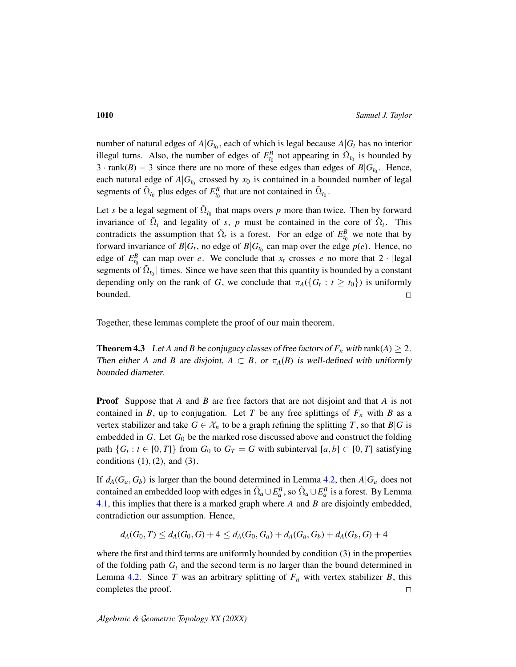number of natural edges of  $A|G_{t_0}$ , each of which is legal because  $A|G_t$  has no interior illegal turns. Also, the number of edges of  $E_{t_0}^B$  not appearing in  $\tilde{\Omega}_{t_0}$  is bounded by  $3 \cdot \text{rank}(B) - 3$  since there are no more of these edges than edges of  $B|G_{t_0}$ . Hence, each natural edge of  $A|G_{t_0}$  crossed by  $x_0$  is contained in a bounded number of legal segments of  $\tilde{\Omega}_{t_0}$  plus edges of  $E_{t_0}^B$  that are not contained in  $\tilde{\Omega}_{t_0}$ .

Let *s* be a legal segment of  $\tilde{\Omega}_{t_0}$  that maps overs *p* more than twice. Then by forward invariance of  $\tilde{\Omega}_t$  and legality of *s*, *p* must be contained in the core of  $\tilde{\Omega}_t$ . This contradicts the assumption that  $\tilde{\Omega}_t$  is a forest. For an edge of  $E_{t_0}^B$  we note that by forward invariance of  $B|G_t$ , no edge of  $B|G_{t_0}$  can map over the edge  $p(e)$ . Hence, no edge of  $E_{t_0}^B$  can map over *e*. We conclude that  $x_t$  crosses *e* no more that 2 · |legal segments of  $\tilde{\Omega}_{t_0}$  times. Since we have seen that this quantity is bounded by a constant depending only on the rank of *G*, we conclude that  $\pi_A(\{G_t : t \geq t_0\})$  is uniformly bounded.  $\Box$ 

Together, these lemmas complete the proof of our main theorem.

<span id="page-9-0"></span>**Theorem 4.3** Let *A* and *B* be conjugacy classes of free factors of  $F_n$  with rank(*A*)  $\geq 2$ . Then either *A* and *B* are disjoint,  $A \subset B$ , or  $\pi_A(B)$  is well-defined with uniformly bounded diameter.

Proof Suppose that *A* and *B* are free factors that are not disjoint and that *A* is not contained in *B*, up to conjugation. Let *T* be any free splittings of  $F<sub>n</sub>$  with *B* as a vertex stabilizer and take  $G \in \mathcal{X}_n$  to be a graph refining the splitting *T*, so that *B*|*G* is embedded in *G*. Let *G*<sup>0</sup> be the marked rose discussed above and construct the folding path  $\{G_t : t \in [0, T]\}$  from  $G_0$  to  $G_T = G$  with subinterval  $[a, b] \subset [0, T]$  satisfying conditions  $(1)$ ,  $(2)$ , and  $(3)$ .

If  $d_A(G_a, G_b)$  is larger than the bound determined in Lemma [4.2,](#page-8-0) then  $A|G_a$  does not contained an embedded loop with edges in  $\tilde{\Omega}_a \cup E_a^B$ , so  $\tilde{\Omega}_a \cup E_a^B$  is a forest. By Lemma [4.1,](#page-7-0) this implies that there is a marked graph where *A* and *B* are disjointly embedded, contradiction our assumption. Hence,

 $d_A(G_0, T) \leq d_A(G_0, G) + 4 \leq d_A(G_0, G_a) + d_A(G_a, G_b) + d_A(G_b, G) + 4$ 

where the first and third terms are uniformly bounded by condition (3) in the properties of the folding path *G<sup>t</sup>* and the second term is no larger than the bound determined in Lemma [4.2.](#page-8-0) Since *T* was an arbitrary splitting of  $F<sub>n</sub>$  with vertex stabilizer *B*, this completes the proof.  $\Box$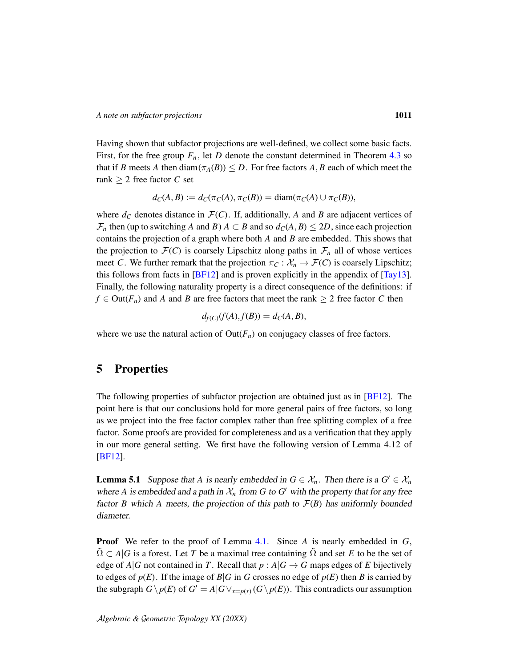Having shown that subfactor projections are well-defined, we collect some basic facts. First, for the free group  $F_n$ , let *D* denote the constant determined in Theorem [4.3](#page-9-0) so that if *B* meets *A* then diam( $\pi_A(B)$ )  $\leq D$ . For free factors *A*, *B* each of which meet the rank ≥ 2 free factor *C* set

$$
d_C(A, B) := d_C(\pi_C(A), \pi_C(B)) = \text{diam}(\pi_C(A) \cup \pi_C(B)),
$$

where  $d_C$  denotes distance in  $\mathcal{F}(C)$ . If, additionally, A and B are adjacent vertices of  $\mathcal{F}_n$  then (up to switching *A* and *B*)  $A \subset B$  and so  $d_C(A, B) \le 2D$ , since each projection contains the projection of a graph where both *A* and *B* are embedded. This shows that the projection to  $\mathcal{F}(C)$  is coarsely Lipschitz along paths in  $\mathcal{F}_n$  all of whose vertices meet *C*. We further remark that the projection  $\pi_C : \mathcal{X}_n \to \mathcal{F}(C)$  is coarsely Lipschitz; this follows from facts in  $[BF12]$  and is proven explicitly in the appendix of  $[Tay13]$ . Finally, the following naturality property is a direct consequence of the definitions: if  $f \in Out(F_n)$  and *A* and *B* are free factors that meet the rank  $\geq 2$  free factor *C* then

$$
d_{f(C)}(f(A), f(B)) = d_C(A, B),
$$

where we use the natural action of  $Out(F_n)$  on conjugacy classes of free factors.

### 5 Properties

The following properties of subfactor projection are obtained just as in [\[BF12\]](#page-16-0). The point here is that our conclusions hold for more general pairs of free factors, so long as we project into the free factor complex rather than free splitting complex of a free factor. Some proofs are provided for completeness and as a verification that they apply in our more general setting. We first have the following version of Lemma 4.12 of [\[BF12\]](#page-16-0).

<span id="page-10-0"></span>**Lemma 5.1** Suppose that *A* is nearly embedded in  $G \in \mathcal{X}_n$ . Then there is a  $G' \in \mathcal{X}_n$ where A is embedded and a path in  $\mathcal{X}_n$  from G to G' with the property that for any free factor *B* which *A* meets, the projection of this path to  $\mathcal{F}(B)$  has uniformly bounded diameter.

Proof We refer to the proof of Lemma [4.1.](#page-7-0) Since *A* is nearly embedded in *G*,  $\Omega \subset A | G$  is a forest. Let *T* be a maximal tree containing  $\Omega$  and set *E* to be the set of edge of  $A|G$  not contained in *T*. Recall that  $p : A|G \to G$  maps edges of *E* bijectively to edges of  $p(E)$ . If the image of  $B|G$  in  $G$  crosses no edge of  $p(E)$  then  $B$  is carried by the subgraph  $G \setminus p(E)$  of  $G' = A | G \vee_{x=p(x)} (G \setminus p(E))$ . This contradicts our assumption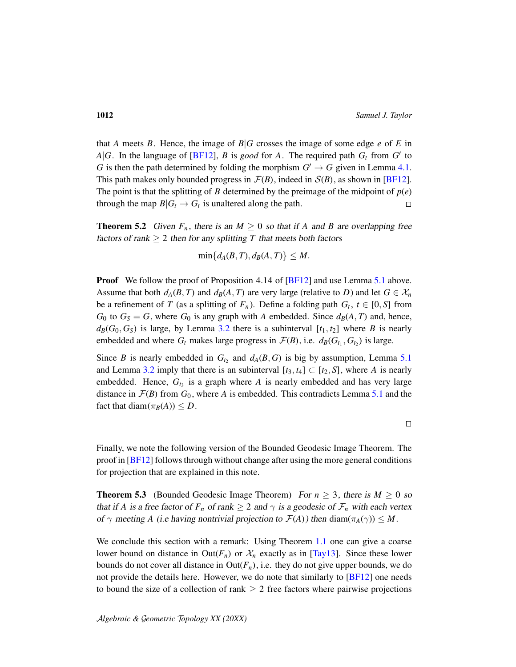that *A* meets *B*. Hence, the image of  $B|G$  crosses the image of some edge *e* of *E* in *A*|*G*. In the language of [*BF12*], *B* is *good* for *A*. The required path  $G_t$  from  $G'$  to *G* is then the path determined by folding the morphism  $G' \rightarrow G$  given in Lemma [4.1.](#page-7-0) This path makes only bounded progress in  $\mathcal{F}(B)$ , indeed in  $\mathcal{S}(B)$ , as shown in [\[BF12\]](#page-16-0). The point is that the splitting of *B* determined by the preimage of the midpoint of  $p(e)$ through the map  $B|G_t \to G_t$  is unaltered along the path.  $\Box$ 

**Theorem 5.2** Given  $F_n$ , there is an  $M \geq 0$  so that if A and B are overlapping free factors of rank  $\geq 2$  then for any splitting T that meets both factors

$$
\min\{d_A(B,T),d_B(A,T)\}\leq M.
$$

**Proof** We follow the proof of Proposition 4.14 of [\[BF12\]](#page-16-0) and use Lemma [5.1](#page-10-0) above. Assume that both  $d_A(B, T)$  and  $d_B(A, T)$  are very large (relative to *D*) and let  $G \in \mathcal{X}_n$ be a refinement of *T* (as a splitting of  $F_n$ ). Define a folding path  $G_t$ ,  $t \in [0, S]$  from *G*<sup>0</sup> to  $G_S = G$ , where  $G_0$  is any graph with *A* embedded. Since  $d_B(A, T)$  and, hence,  $d_B(G_0, G_S)$  is large, by Lemma [3.2](#page-6-1) there is a subinterval  $[t_1, t_2]$  where *B* is nearly embedded and where  $G_t$  makes large progress in  $\mathcal{F}(B)$ , i.e.  $d_B(G_{t_1}, G_{t_2})$  is large.

Since *B* is nearly embedded in  $G_{t_2}$  and  $d_A(B, G)$  is big by assumption, Lemma [5.1](#page-10-0) and Lemma [3.2](#page-6-1) imply that there is an subinterval  $[t_3, t_4] \subset [t_2, S]$ , where *A* is nearly embedded. Hence,  $G_{t_3}$  is a graph where  $A$  is nearly embedded and has very large distance in  $\mathcal{F}(B)$  from  $G_0$ , where A is embedded. This contradicts Lemma [5.1](#page-10-0) and the fact that diam $(\pi_B(A)) \leq D$ .

 $\Box$ 

Finally, we note the following version of the Bounded Geodesic Image Theorem. The proof in [\[BF12\]](#page-16-0) follows through without change after using the more general conditions for projection that are explained in this note.

**Theorem 5.3** (Bounded Geodesic Image Theorem) For  $n \ge 3$ , there is  $M \ge 0$  so that if *A* is a free factor of  $F_n$  of rank  $\geq 2$  and  $\gamma$  is a geodesic of  $\mathcal{F}_n$  with each vertex of  $\gamma$  meeting *A* (i.e having nontrivial projection to  $\mathcal{F}(A)$ ) then diam( $\pi_A(\gamma)$ )  $\leq M$ .

We conclude this section with a remark: Using Theorem [1.1](#page-1-0) one can give a coarse lower bound on distance in  $Out(F_n)$  or  $\mathcal{X}_n$  exactly as in [\[Tay13\]](#page-17-0). Since these lower bounds do not cover all distance in  $Out(F_n)$ , i.e. they do not give upper bounds, we do not provide the details here. However, we do note that similarly to [\[BF12\]](#page-16-0) one needs to bound the size of a collection of rank  $\geq 2$  free factors where pairwise projections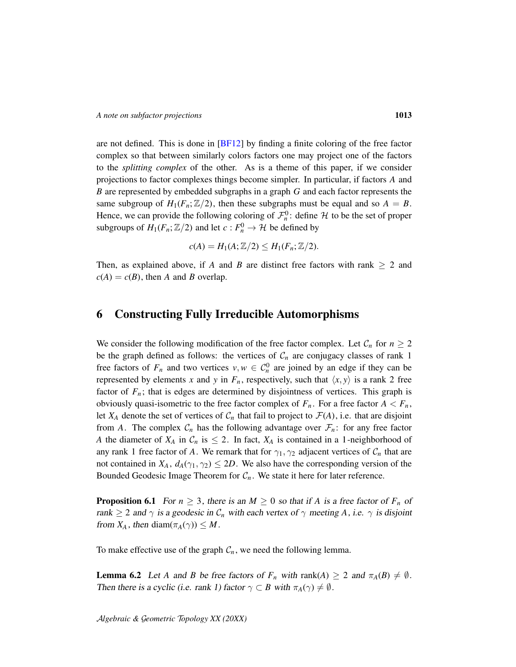are not defined. This is done in  $[BF12]$  by finding a finite coloring of the free factor complex so that between similarly colors factors one may project one of the factors to the *splitting complex* of the other. As is a theme of this paper, if we consider projections to factor complexes things become simpler. In particular, if factors *A* and *B* are represented by embedded subgraphs in a graph *G* and each factor represents the same subgroup of  $H_1(F_n; \mathbb{Z}/2)$ , then these subgraphs must be equal and so  $A = B$ . Hence, we can provide the following coloring of  $\mathcal{F}_n^0$ : define  $\mathcal H$  to be the set of proper subgroups of  $H_1(F_n; \mathbb{Z}/2)$  and let  $c: F_n^0 \to \mathcal{H}$  be defined by

$$
c(A) = H_1(A; \mathbb{Z}/2) \leq H_1(F_n; \mathbb{Z}/2).
$$

Then, as explained above, if *A* and *B* are distinct free factors with rank  $\geq 2$  and  $c(A) = c(B)$ , then *A* and *B* overlap.

## <span id="page-12-0"></span>6 Constructing Fully Irreducible Automorphisms

We consider the following modification of the free factor complex. Let  $C_n$  for  $n \geq 2$ be the graph defined as follows: the vertices of  $C_n$  are conjugacy classes of rank 1 free factors of  $F_n$  and two vertices  $v, w \in C_n^0$  are joined by an edge if they can be represented by elements *x* and *y* in  $F_n$ , respectively, such that  $\langle x, y \rangle$  is a rank 2 free factor of  $F_n$ ; that is edges are determined by disjointness of vertices. This graph is obviously quasi-isometric to the free factor complex of  $F_n$ . For a free factor  $A < F_n$ , let  $X_A$  denote the set of vertices of  $C_n$  that fail to project to  $\mathcal{F}(A)$ , i.e. that are disjoint from *A*. The complex  $C_n$  has the following advantage over  $\mathcal{F}_n$ : for any free factor *A* the diameter of  $X_A$  in  $C_n$  is  $\leq 2$ . In fact,  $X_A$  is contained in a 1-neighborhood of any rank 1 free factor of *A*. We remark that for  $\gamma_1, \gamma_2$  adjacent vertices of  $\mathcal{C}_n$  that are not contained in  $X_A$ ,  $d_A(\gamma_1, \gamma_2) \leq 2D$ . We also have the corresponding version of the Bounded Geodesic Image Theorem for  $C_n$ . We state it here for later reference.

<span id="page-12-1"></span>**Proposition 6.1** For  $n \geq 3$ , there is an  $M \geq 0$  so that if A is a free factor of  $F_n$  of rank  $\geq 2$  and  $\gamma$  is a geodesic in  $\mathcal{C}_n$  with each vertex of  $\gamma$  meeting A, i.e.  $\gamma$  is disjoint from  $X_A$ , then diam $(\pi_A(\gamma)) \leq M$ .

To make effective use of the graph  $C_n$ , we need the following lemma.

<span id="page-12-2"></span>**Lemma 6.2** Let *A* and *B* be free factors of  $F_n$  with rank(*A*)  $\geq 2$  and  $\pi_A(B) \neq \emptyset$ . Then there is a cyclic (i.e. rank 1) factor  $\gamma \subset B$  with  $\pi_A(\gamma) \neq \emptyset$ .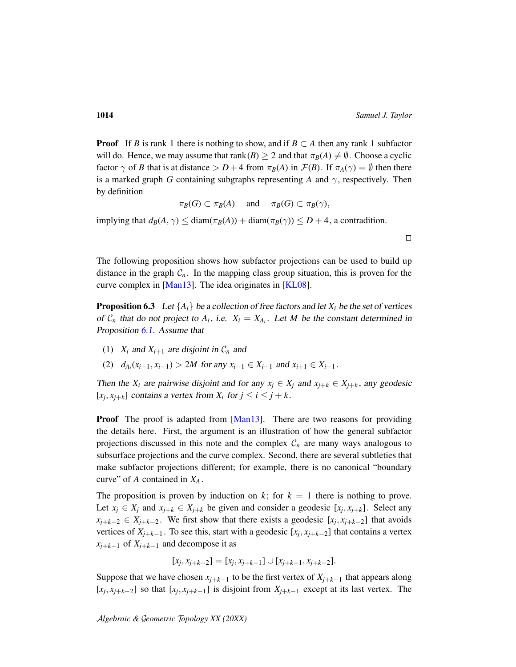$\Box$ 

**Proof** If *B* is rank 1 there is nothing to show, and if  $B \subset A$  then any rank 1 subfactor will do. Hence, we may assume that rank(*B*)  $\geq$  2 and that  $\pi_B(A) \neq \emptyset$ . Choose a cyclic factor  $\gamma$  of *B* that is at distance  $> D+4$  from  $\pi_B(A)$  in  $\mathcal{F}(B)$ . If  $\pi_A(\gamma) = \emptyset$  then there is a marked graph *G* containing subgraphs representing *A* and  $\gamma$ , respectively. Then by definition

$$
\pi_B(G) \subset \pi_B(A)
$$
 and  $\pi_B(G) \subset \pi_B(\gamma)$ ,

implying that  $d_B(A, \gamma) \leq \text{diam}(\pi_B(A)) + \text{diam}(\pi_B(\gamma)) \leq D + 4$ , a contradition.

The following proposition shows how subfactor projections can be used to build up distance in the graph  $C_n$ . In the mapping class group situation, this is proven for the curve complex in [\[Man13\]](#page-17-2). The idea originates in [\[KL08\]](#page-16-11).

<span id="page-13-0"></span>**Proposition 6.3** Let  $\{A_i\}$  be a collection of free factors and let  $X_i$  be the set of vertices of  $C_n$  that do not project to  $A_i$ , i.e.  $X_i = X_{A_i}$ . Let M be the constant determined in Proposition [6.1.](#page-12-1) Assume that

- (1)  $X_i$  and  $X_{i+1}$  are disjoint in  $C_n$  and
- (2)  $d_{A_i}(x_{i-1}, x_{i+1}) > 2M$  for any  $x_{i-1} \in X_{i-1}$  and  $x_{i+1} \in X_{i+1}$ .

Then the  $X_i$  are pairwise disjoint and for any  $x_j \in X_j$  and  $x_{j+k} \in X_{j+k}$ , any geodesic  $[x_j, x_{j+k}]$  contains a vertex from  $X_i$  for  $j \le i \le j+k$ .

**Proof** The proof is adapted from [\[Man13\]](#page-17-2). There are two reasons for providing the details here. First, the argument is an illustration of how the general subfactor projections discussed in this note and the complex  $C_n$  are many ways analogous to subsurface projections and the curve complex. Second, there are several subtleties that make subfactor projections different; for example, there is no canonical "boundary curve" of *A* contained in *X<sup>A</sup>* .

The proposition is proven by induction on  $k$ ; for  $k = 1$  there is nothing to prove. Let  $x_j \in X_j$  and  $x_{j+k} \in X_{j+k}$  be given and consider a geodesic  $[x_j, x_{j+k}]$ . Select any  $x_{j+k-2} \in X_{j+k-2}$ . We first show that there exists a geodesic [ $x_j, x_{j+k-2}$ ] that avoids vertices of  $X_{j+k-1}$ . To see this, start with a geodesic  $[x_j, x_{j+k-2}]$  that contains a vertex  $x_{i+k-1}$  of  $X_{i+k-1}$  and decompose it as

$$
[x_j, x_{j+k-2}] = [x_j, x_{j+k-1}] \cup [x_{j+k-1}, x_{j+k-2}].
$$

Suppose that we have chosen  $x_{i+k-1}$  to be the first vertex of  $X_{i+k-1}$  that appears along  $[x_j, x_{j+k-2}]$  so that  $[x_j, x_{j+k-1}]$  is disjoint from  $X_{j+k-1}$  except at its last vertex. The

A*lgebraic &* G*eometric* T*opology XX (20XX)*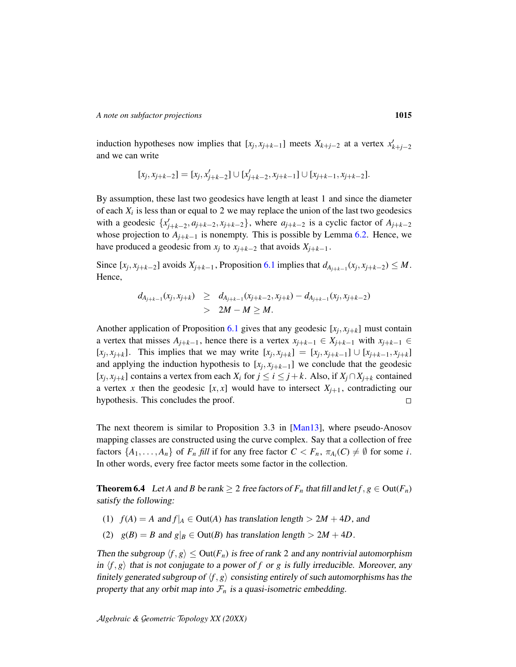induction hypotheses now implies that  $[x_j, x_{j+k-1}]$  meets  $X_{k+j-2}$  at a vertex  $x'_{k+j-2}$ and we can write

$$
[x_j, x_{j+k-2}] = [x_j, x'_{j+k-2}] \cup [x'_{j+k-2}, x_{j+k-1}] \cup [x_{j+k-1}, x_{j+k-2}].
$$

By assumption, these last two geodesics have length at least 1 and since the diameter of each  $X_i$  is less than or equal to 2 we may replace the union of the last two geodesics with a geodesic  $\{x'_{j+k-2}, a_{j+k-2}, x_{j+k-2}\}$ , where  $a_{j+k-2}$  is a cyclic factor of  $A_{j+k-2}$ whose projection to  $A_{j+k-1}$  is nonempty. This is possible by Lemma [6.2.](#page-12-2) Hence, we have produced a geodesic from  $x_j$  to  $x_{j+k-2}$  that avoids  $X_{j+k-1}$ .

Since  $[x_j, x_{j+k-2}]$  avoids  $X_{j+k-1}$ , Proposition [6.1](#page-12-1) implies that  $d_{A_{j+k-1}}(x_j, x_{j+k-2}) \leq M$ . Hence,

$$
d_{A_{j+k-1}}(x_j, x_{j+k}) \geq d_{A_{j+k-1}}(x_{j+k-2}, x_{j+k}) - d_{A_{j+k-1}}(x_j, x_{j+k-2})
$$
  
> 2M - M \geq M.

Another application of Proposition [6.1](#page-12-1) gives that any geodesic  $[x_j, x_{j+k}]$  must contain a vertex that misses  $A_{j+k-1}$ , hence there is a vertex  $x_{j+k-1} \in X_{j+k-1}$  with  $x_{j+k-1} \in$  $[x_j, x_{j+k}]$ . This implies that we may write  $[x_j, x_{j+k}] = [x_j, x_{j+k-1}] \cup [x_{j+k-1}, x_{j+k}]$ and applying the induction hypothesis to  $[x_j, x_{j+k-1}]$  we conclude that the geodesic  $[x_j, x_{j+k}]$  contains a vertex from each  $X_i$  for  $j \le i \le j+k$ . Also, if  $X_j \cap X_{j+k}$  contained a vertex *x* then the geodesic  $[x, x]$  would have to intersect  $X_{j+1}$ , contradicting our hypothesis. This concludes the proof.  $\Box$ 

The next theorem is similar to Proposition 3.3 in [\[Man13\]](#page-17-2), where pseudo-Anosov mapping classes are constructed using the curve complex. Say that a collection of free factors  $\{A_1, \ldots, A_n\}$  of  $F_n$  *fill* if for any free factor  $C < F_n$ ,  $\pi_{A_i}(C) \neq \emptyset$  for some *i*. In other words, every free factor meets some factor in the collection.

<span id="page-14-0"></span>**Theorem 6.4** Let *A* and *B* be rank  $\geq 2$  free factors of  $F_n$  that fill and let  $f, g \in Out(F_n)$ satisfy the following:

- (1)  $f(A) = A$  and  $f|_A \in Out(A)$  has translation length  $> 2M + 4D$ , and
- (2)  $g(B) = B$  and  $g|_B \in Out(B)$  has translation length  $> 2M + 4D$ .

Then the subgroup  $\langle f, g \rangle \leq Out(F_n)$  is free of rank 2 and any nontrivial automorphism in  $\langle f, g \rangle$  that is not conjugate to a power of *f* or *g* is fully irreducible. Moreover, any finitely generated subgroup of  $\langle f, g \rangle$  consisting entirely of such automorphisms has the property that any orbit map into  $\mathcal{F}_n$  is a quasi-isometric embedding.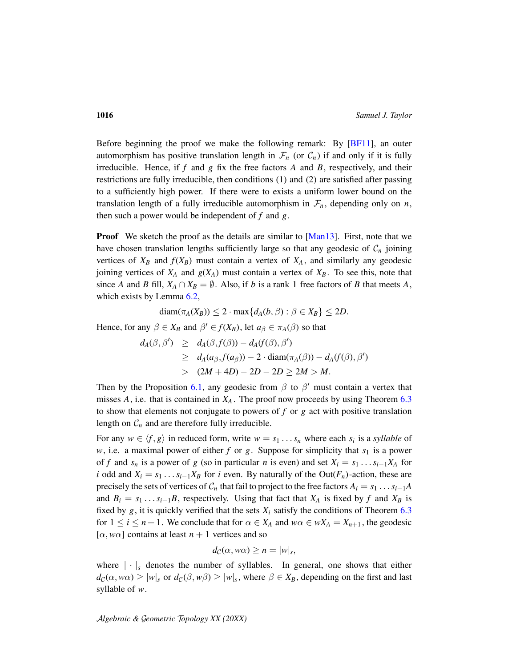Before beginning the proof we make the following remark: By [\[BF11\]](#page-16-6), an outer automorphism has positive translation length in  $\mathcal{F}_n$  (or  $\mathcal{C}_n$ ) if and only if it is fully irreducible. Hence, if *f* and *g* fix the free factors *A* and *B*, respectively, and their restrictions are fully irreducible, then conditions (1) and (2) are satisfied after passing to a sufficiently high power. If there were to exists a uniform lower bound on the translation length of a fully irreducible automorphism in  $\mathcal{F}_n$ , depending only on *n*, then such a power would be independent of *f* and *g*.

**Proof** We sketch the proof as the details are similar to [\[Man13\]](#page-17-2). First, note that we have chosen translation lengths sufficiently large so that any geodesic of  $C_n$  joining vertices of  $X_B$  and  $f(X_B)$  must contain a vertex of  $X_A$ , and similarly any geodesic joining vertices of  $X_A$  and  $g(X_A)$  must contain a vertex of  $X_B$ . To see this, note that since *A* and *B* fill,  $X_A \cap X_B = \emptyset$ . Also, if *b* is a rank 1 free factors of *B* that meets *A*, which exists by Lemma [6.2,](#page-12-2)

$$
\text{diam}(\pi_A(X_B)) \leq 2 \cdot \max\{d_A(b,\beta) : \beta \in X_B\} \leq 2D.
$$

Hence, for any  $\beta \in X_B$  and  $\beta' \in f(X_B)$ , let  $a_{\beta} \in \pi_A(\beta)$  so that

$$
d_A(\beta, \beta') \geq d_A(\beta, f(\beta)) - d_A(f(\beta), \beta')
$$
  
\n
$$
\geq d_A(a_{\beta}, f(a_{\beta})) - 2 \cdot \text{diam}(\pi_A(\beta)) - d_A(f(\beta), \beta')
$$
  
\n
$$
> (2M + 4D) - 2D - 2D \geq 2M > M.
$$

Then by the Proposition [6.1,](#page-12-1) any geodesic from  $\beta$  to  $\beta'$  must contain a vertex that misses  $A$ , i.e. that is contained in  $X_A$ . The proof now proceeds by using Theorem  $6.3$ to show that elements not conjugate to powers of *f* or *g* act with positive translation length on  $C_n$  and are therefore fully irreducible.

For any  $w \in \langle f, g \rangle$  in reduced form, write  $w = s_1 \dots s_n$  where each  $s_i$  is a *syllable* of *w*, i.e. a maximal power of either *f* or *g*. Suppose for simplicity that  $s_1$  is a power of *f* and  $s_n$  is a power of *g* (so in particular *n* is even) and set  $X_i = s_1 \dots s_{i-1} X_A$  for *i* odd and  $X_i = s_1 \dots s_{i-1} X_B$  for *i* even. By naturally of the Out( $F_n$ )-action, these are precisely the sets of vertices of  $C_n$  that fail to project to the free factors  $A_i = s_1 \dots s_{i-1}A$ and  $B_i = s_1 \dots s_{i-1}B$ , respectively. Using that fact that  $X_A$  is fixed by  $f$  and  $X_B$  is fixed by  $g$ , it is quickly verified that the sets  $X_i$  satisfy the conditions of Theorem  $6.3$ for  $1 \le i \le n+1$ . We conclude that for  $\alpha \in X_A$  and  $w\alpha \in wX_A = X_{n+1}$ , the geodesic  $[\alpha, w\alpha]$  contains at least  $n+1$  vertices and so

$$
d_{\mathcal{C}}(\alpha, w\alpha) \geq n = |w|_s,
$$

where  $|\cdot|_s$  denotes the number of syllables. In general, one shows that either  $d_C(\alpha, w\alpha) \ge |w|_s$  or  $d_C(\beta, w\beta) \ge |w|_s$ , where  $\beta \in X_B$ , depending on the first and last syllable of *w*.

A*lgebraic &* G*eometric* T*opology XX (20XX)*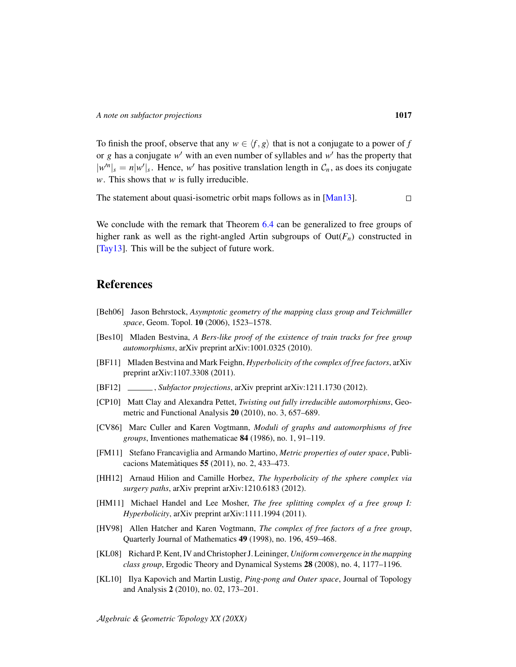To finish the proof, observe that any  $w \in \langle f, g \rangle$  that is not a conjugate to a power of *f* or  $g$  has a conjugate  $w'$  with an even number of syllables and  $w'$  has the property that  $|w^n|_s = n|w'|_s$ . Hence, w' has positive translation length in  $\mathcal{C}_n$ , as does its conjugate *w*. This shows that *w* is fully irreducible.

The statement about quasi-isometric orbit maps follows as in [\[Man13\]](#page-17-2).  $\Box$ 

We conclude with the remark that Theorem [6.4](#page-14-0) can be generalized to free groups of higher rank as well as the right-angled Artin subgroups of  $Out(F_n)$  constructed in [\[Tay13\]](#page-17-0). This will be the subject of future work.

# **References**

- <span id="page-16-1"></span>[Beh06] Jason Behrstock, *Asymptotic geometry of the mapping class group and Teichmüller space*, Geom. Topol. 10 (2006), 1523–1578.
- <span id="page-16-10"></span>[Bes10] Mladen Bestvina, *A Bers-like proof of the existence of train tracks for free group automorphisms*, arXiv preprint arXiv:1001.0325 (2010).
- <span id="page-16-6"></span>[BF11] Mladen Bestvina and Mark Feighn, *Hyperbolicity of the complex of free factors*, arXiv preprint arXiv:1107.3308 (2011).
- <span id="page-16-0"></span>[BF12] , *Subfactor projections*, arXiv preprint arXiv:1211.1730 (2012).
- <span id="page-16-2"></span>[CP10] Matt Clay and Alexandra Pettet, *Twisting out fully irreducible automorphisms*, Geometric and Functional Analysis 20 (2010), no. 3, 657–689.
- <span id="page-16-8"></span>[CV86] Marc Culler and Karen Vogtmann, *Moduli of graphs and automorphisms of free groups*, Inventiones mathematicae 84 (1986), no. 1, 91–119.
- <span id="page-16-9"></span>[FM11] Stefano Francaviglia and Armando Martino, *Metric properties of outer space*, Publicacions Matemàtiques  $55$  (2011), no. 2, 433–473.
- <span id="page-16-7"></span>[HH12] Arnaud Hilion and Camille Horbez, *The hyperbolicity of the sphere complex via surgery paths*, arXiv preprint arXiv:1210.6183 (2012).
- <span id="page-16-4"></span>[HM11] Michael Handel and Lee Mosher, *The free splitting complex of a free group I: Hyperbolicity*, arXiv preprint arXiv:1111.1994 (2011).
- <span id="page-16-5"></span>[HV98] Allen Hatcher and Karen Vogtmann, *The complex of free factors of a free group*, Quarterly Journal of Mathematics 49 (1998), no. 196, 459–468.
- <span id="page-16-11"></span>[KL08] Richard P. Kent, IV and Christopher J. Leininger, *Uniform convergence in the mapping class group*, Ergodic Theory and Dynamical Systems 28 (2008), no. 4, 1177–1196.
- <span id="page-16-3"></span>[KL10] Ilya Kapovich and Martin Lustig, *Ping-pong and Outer space*, Journal of Topology and Analysis 2 (2010), no. 02, 173–201.